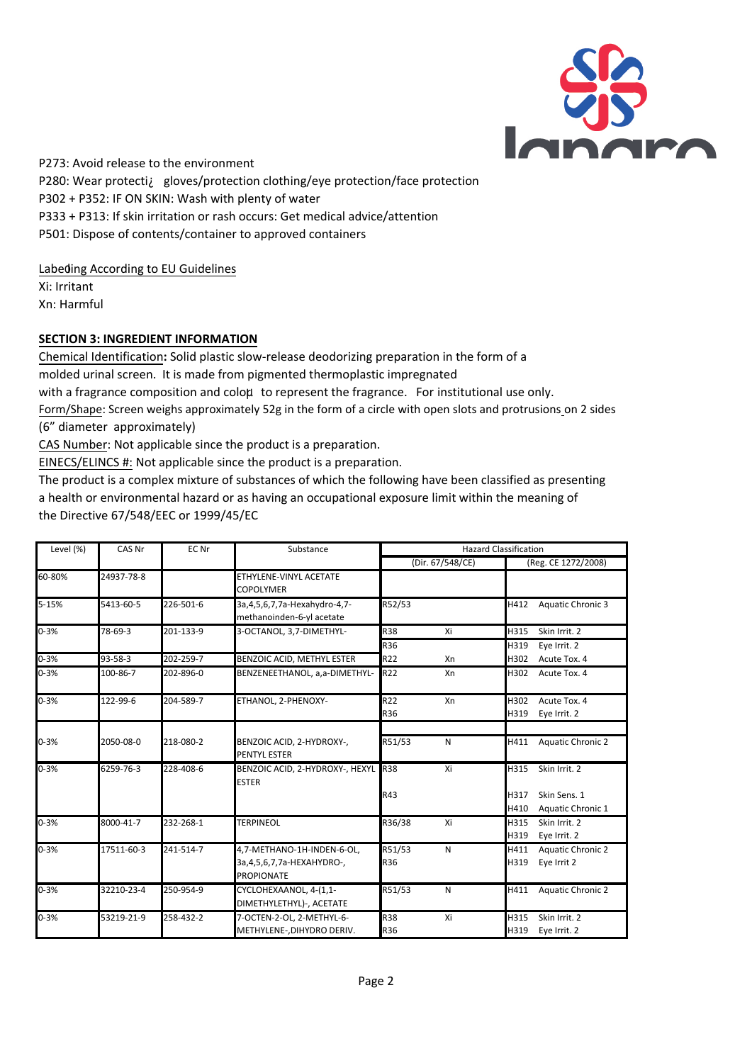P273: Avoid release to the environment P280: Wear protectiÀ gloves/protection clothing/eye protection/face protection P302 + P352: IF ON SKIN: Wash with plenty of water P333 + P313: If skin irritation or rash occurs: Get medical advice/attention P501: Dispose of contents/container to approved containers

Labeding According to EU Guidelines

Xi: Irritant Xn: Harmful

# **SECTION 3: INGREDIENT INFORMATION**

Chemical Identification**:** Solid plastic slow-release deodorizing preparation in the form of a molded urinal screen. It is made from pigmented thermoplastic impregnated with a fragrance composition and coloµ to represent the fragrance. For institutional use only. Form/Shape: Screen weighs approximately 52g in the form of a circle with open slots and protrusions on 2 sides (6" diameter approximately)

CAS Number: Not applicable since the product is a preparation.

EINECS/ELINCS #: Not applicable since the product is a preparation.

The product is a complex mixture of substances of which the following have been classified as presenting a health or environmental hazard or as having an occupational exposure limit within the meaning of the Directive 67/548/EEC or 1999/45/EC

| Level (%) | CAS Nr     | EC Nr     | Substance                                           | <b>Hazard Classification</b> |                  |      |                          |
|-----------|------------|-----------|-----------------------------------------------------|------------------------------|------------------|------|--------------------------|
|           |            |           |                                                     |                              | (Dir. 67/548/CE) |      | (Reg. CE 1272/2008)      |
| 60-80%    | 24937-78-8 |           | ETHYLENE-VINYL ACETATE                              |                              |                  |      |                          |
|           |            |           | <b>COPOLYMER</b>                                    |                              |                  |      |                          |
| 5-15%     | 5413-60-5  | 226-501-6 | 3a, 4, 5, 6, 7, 7a-Hexahydro-4, 7-                  | R52/53                       |                  | H412 | <b>Aquatic Chronic 3</b> |
|           |            |           | methanoinden-6-yl acetate                           |                              |                  |      |                          |
| $0 - 3%$  | 78-69-3    | 201-133-9 | 3-OCTANOL, 3,7-DIMETHYL-                            | <b>R38</b>                   | Xi               | H315 | Skin Irrit. 2            |
|           |            |           |                                                     | R36                          |                  | H319 | Eye Irrit. 2             |
| $0 - 3%$  | 93-58-3    | 202-259-7 | BENZOIC ACID, METHYL ESTER                          | R22                          | Xn               | H302 | Acute Tox. 4             |
| $0 - 3%$  | 100-86-7   | 202-896-0 | BENZENEETHANOL, a,a-DIMETHYL-                       | R22                          | Xn               | H302 | Acute Tox. 4             |
| $0 - 3%$  | 122-99-6   | 204-589-7 | ETHANOL, 2-PHENOXY-                                 | R22                          | Xn               | H302 | Acute Tox. 4             |
|           |            |           |                                                     | R36                          |                  | H319 | Eye Irrit. 2             |
|           |            |           |                                                     |                              |                  |      |                          |
| $0 - 3%$  | 2050-08-0  | 218-080-2 | BENZOIC ACID, 2-HYDROXY-,<br><b>PENTYL ESTER</b>    | R51/53                       | N                | H411 | <b>Aquatic Chronic 2</b> |
| $0 - 3%$  | 6259-76-3  | 228-408-6 | BENZOIC ACID, 2-HYDROXY-, HEXYL R38<br><b>ESTER</b> |                              | Xi               | H315 | Skin Irrit. 2            |
|           |            |           |                                                     | R43                          |                  | H317 | Skin Sens. 1             |
|           |            |           |                                                     |                              |                  | H410 | Aquatic Chronic 1        |
| $0 - 3%$  | 8000-41-7  | 232-268-1 | <b>TERPINEOL</b>                                    | R36/38                       | Xi               | H315 | Skin Irrit, 2            |
|           |            |           |                                                     |                              |                  | H319 | Eye Irrit. 2             |
| $0 - 3%$  | 17511-60-3 | 241-514-7 | 4,7-METHANO-1H-INDEN-6-OL,                          | R51/53                       | N                | H411 | <b>Aquatic Chronic 2</b> |
|           |            |           | 3a, 4, 5, 6, 7, 7a-HEXAHYDRO-,<br><b>PROPIONATE</b> | R36                          |                  | H319 | Eye Irrit 2              |
| $0 - 3%$  | 32210-23-4 | 250-954-9 | CYCLOHEXAANOL, 4-(1,1-<br>DIMETHYLETHYL)-, ACETATE  | R51/53                       | N                | H411 | <b>Aquatic Chronic 2</b> |
| $0 - 3%$  | 53219-21-9 | 258-432-2 | 7-OCTEN-2-OL, 2-METHYL-6-                           | <b>R38</b>                   | Xi               | H315 | Skin Irrit, 2            |
|           |            |           | METHYLENE-, DIHYDRO DERIV.                          | R36                          |                  | H319 | Eye Irrit. 2             |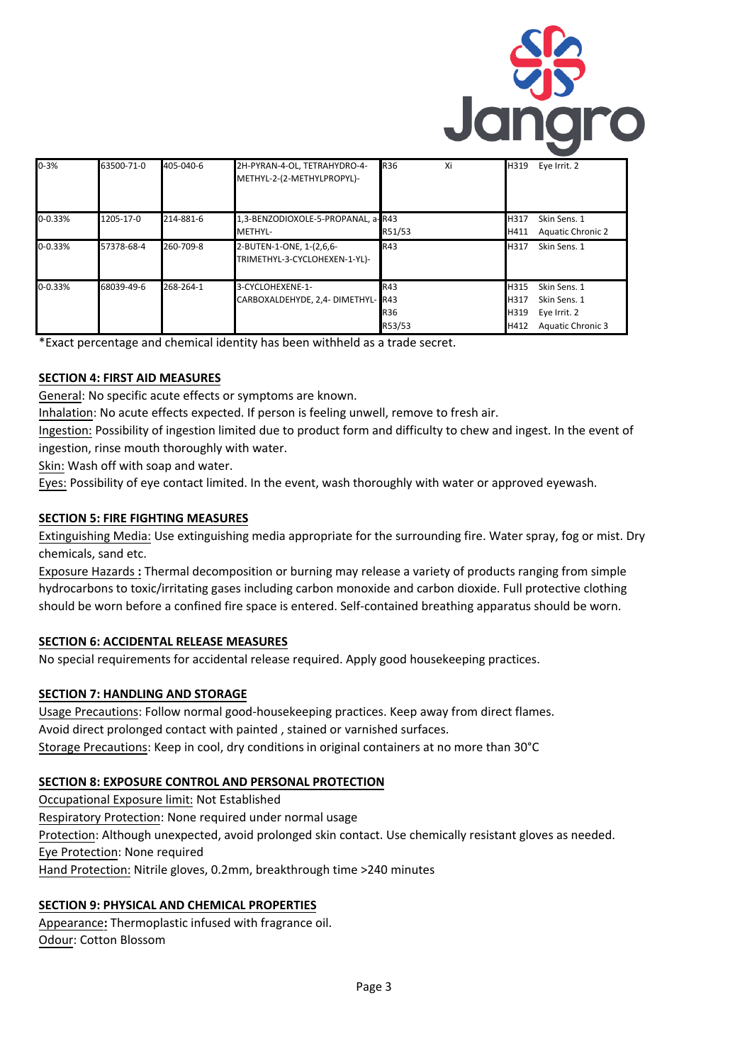

| $0 - 3%$    | 63500-71-0 | 405-040-6 | 2H-PYRAN-4-OL, TETRAHYDRO-4-<br>METHYL-2-(2-METHYLPROPYL)- | <b>R36</b>                  | Xi | H319                         | Eye Irrit. 2                                                             |
|-------------|------------|-----------|------------------------------------------------------------|-----------------------------|----|------------------------------|--------------------------------------------------------------------------|
| $0 - 0.33%$ | 1205-17-0  | 214-881-6 | 1,3-BENZODIOXOLE-5-PROPANAL, a-R43<br>METHYL-              | R51/53                      |    | H317<br>H411                 | Skin Sens. 1<br><b>Aquatic Chronic 2</b>                                 |
| 0-0.33%     | 57378-68-4 | 260-709-8 | 2-BUTEN-1-ONE, 1-(2,6,6-<br>TRIMETHYL-3-CYCLOHEXEN-1-YL)-  | R43                         |    | H317                         | Skin Sens. 1                                                             |
| $0 - 0.33%$ | 68039-49-6 | 268-264-1 | 3-CYCLOHEXENE-1-<br>CARBOXALDEHYDE, 2,4- DIMETHYL- R43     | R43<br><b>R36</b><br>R53/53 |    | H315<br>H317<br>H319<br>H412 | Skin Sens. 1<br>Skin Sens. 1<br>Eye Irrit. 2<br><b>Aquatic Chronic 3</b> |

\*Exact percentage and chemical identity has been withheld as a trade secret.

### **SECTION 4: FIRST AID MEASURES**

General: No specific acute effects or symptoms are known.

Inhalation: No acute effects expected. If person is feeling unwell, remove to fresh air.

Ingestion: Possibility of ingestion limited due to product form and difficulty to chew and ingest. In the event of ingestion, rinse mouth thoroughly with water.

Skin: Wash off with soap and water.

Eyes: Possibility of eye contact limited. In the event, wash thoroughly with water or approved eyewash.

## **SECTION 5: FIRE FIGHTING MEASURES**

Extinguishing Media: Use extinguishing media appropriate for the surrounding fire. Water spray, fog or mist. Dry chemicals, sand etc.

Exposure Hazards **:** Thermal decomposition or burning may release a variety of products ranging from simple hydrocarbons to toxic/irritating gases including carbon monoxide and carbon dioxide. Full protective clothing should be worn before a confined fire space is entered. Self-contained breathing apparatus should be worn.

### **SECTION 6: ACCIDENTAL RELEASE MEASURES**

No special requirements for accidental release required. Apply good housekeeping practices.

### **SECTION 7: HANDLING AND STORAGE**

Usage Precautions: Follow normal good-housekeeping practices. Keep away from direct flames. Avoid direct prolonged contact with painted , stained or varnished surfaces. Storage Precautions: Keep in cool, dry conditions in original containers at no more than 30°C

### **SECTION 8: EXPOSURE CONTROL AND PERSONAL PROTECTION**

Occupational Exposure limit: Not Established Respiratory Protection: None required under normal usage Protection: Although unexpected, avoid prolonged skin contact. Use chemically resistant gloves as needed. Eye Protection: None required Hand Protection: Nitrile gloves, 0.2mm, breakthrough time >240 minutes

# **SECTION 9: PHYSICAL AND CHEMICAL PROPERTIES**

Appearance**:** Thermoplastic infused with fragrance oil. Odour: Cotton Blossom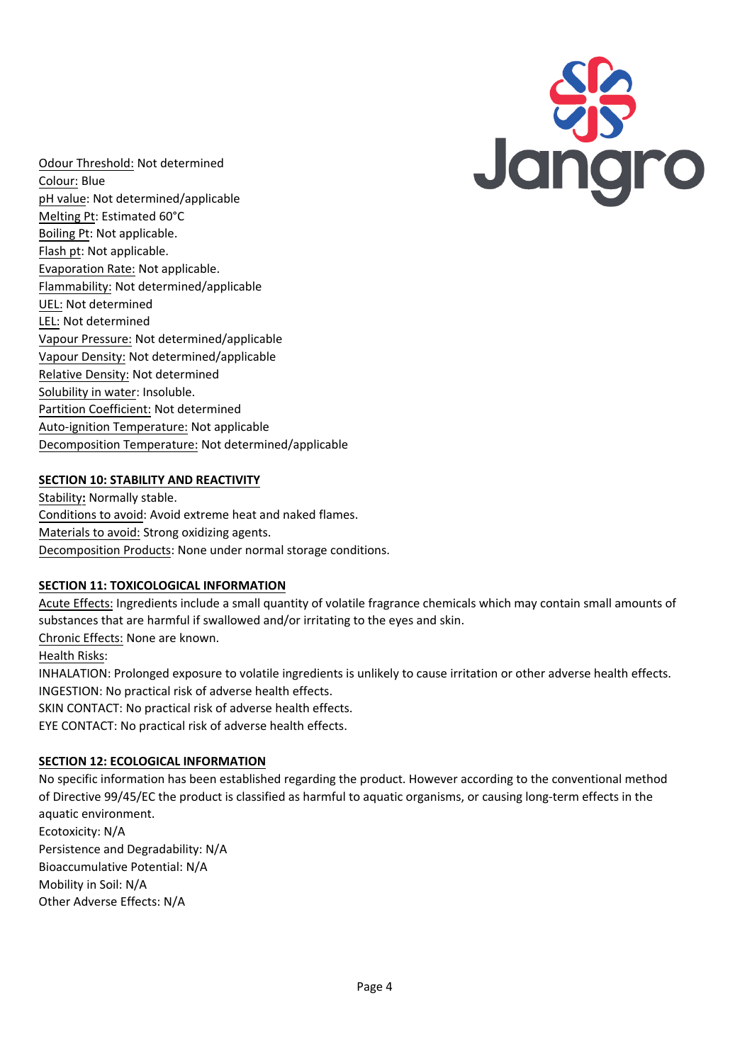

Odour Threshold: Not determined Colour: Blue pH value: Not determined/applicable Melting Pt: Estimated 60°C Boiling Pt: Not applicable. Flash pt: Not applicable. Evaporation Rate: Not applicable. Flammability: Not determined/applicable UEL: Not determined LEL: Not determined Vapour Pressure: Not determined/applicable Vapour Density: Not determined/applicable Relative Density: Not determined Solubility in water: Insoluble. Partition Coefficient: Not determined Auto-ignition Temperature: Not applicable Decomposition Temperature: Not determined/applicable

## **SECTION 10: STABILITY AND REACTIVITY**

Stability**:** Normally stable. Conditions to avoid: Avoid extreme heat and naked flames. Materials to avoid: Strong oxidizing agents. Decomposition Products: None under normal storage conditions.

### **SECTION 11: TOXICOLOGICAL INFORMATION**

Acute Effects: Ingredients include a small quantity of volatile fragrance chemicals which may contain small amounts of substances that are harmful if swallowed and/or irritating to the eyes and skin.

Chronic Effects: None are known.

Health Risks:

INHALATION: Prolonged exposure to volatile ingredients is unlikely to cause irritation or other adverse health effects. INGESTION: No practical risk of adverse health effects.

SKIN CONTACT: No practical risk of adverse health effects.

EYE CONTACT: No practical risk of adverse health effects.

# **SECTION 12: ECOLOGICAL INFORMATION**

No specific information has been established regarding the product. However according to the conventional method of Directive 99/45/EC the product is classified as harmful to aquatic organisms, or causing long-term effects in the aquatic environment. Ecotoxicity: N/A Persistence and Degradability: N/A Bioaccumulative Potential: N/A Mobility in Soil: N/A Other Adverse Effects: N/A